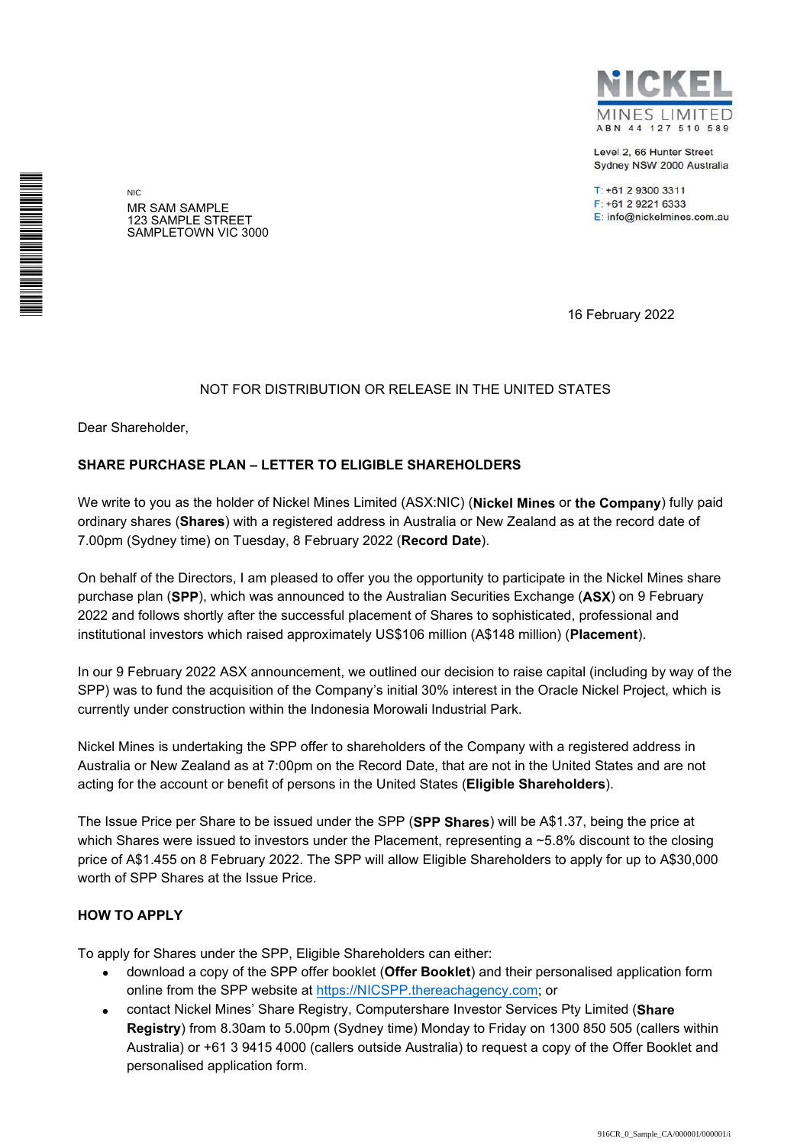Level 2, 66 Hunter Street Sydney NSW 2000 Australia

T: +61 2 9300 3311 F: +61 2 9221 6333 E: info@nickelmines.com.au

NIC MR SAM SAMPLE 123 SAMPLE STREET SAMPLETOWN VIC 3000

16 February 2022

## NOT FOR DISTRIBUTION OR RELEASE IN THE UNITED STATES

Dear Shareholder,

\*S000001Q01\*

## **SHARE PURCHASE PLAN – LETTER TO ELIGIBLE SHAREHOLDERS**

We write to you as the holder of Nickel Mines Limited (ASX:NIC) (**Nickel Mines** or **the Company**) fully paid ordinary shares (**Shares**) with a registered address in Australia or New Zealand as at the record date of 7.00pm (Sydney time) on Tuesday, 8 February 2022 (**Record Date**).

On behalf of the Directors, I am pleased to offer you the opportunity to participate in the Nickel Mines share purchase plan (**SPP**), which was announced to the Australian Securities Exchange (**ASX**) on 9 February 2022 and follows shortly after the successful placement of Shares to sophisticated, professional and institutional investors which raised approximately US\$106 million (A\$148 million) (**Placement**).

In our 9 February 2022 ASX announcement, we outlined our decision to raise capital (including by way of the SPP) was to fund the acquisition of the Company's initial 30% interest in the Oracle Nickel Project, which is currently under construction within the Indonesia Morowali Industrial Park.

Nickel Mines is undertaking the SPP offer to shareholders of the Company with a registered address in Australia or New Zealand as at 7:00pm on the Record Date, that are not in the United States and are not acting for the account or benefit of persons in the United States (**Eligible Shareholders**).

The Issue Price per Share to be issued under the SPP (**SPP Shares**) will be A\$1.37, being the price at which Shares were issued to investors under the Placement, representing a ~5.8% discount to the closing price of A\$1.455 on 8 February 2022. The SPP will allow Eligible Shareholders to apply for up to A\$30,000 worth of SPP Shares at the Issue Price.

## **HOW TO APPLY**

To apply for Shares under the SPP, Eligible Shareholders can either:

- download a copy of the SPP offer booklet (**Offer Booklet**) and their personalised application form online from the SPP website at https://NICSPP.thereachagency.com; or
- contact Nickel Mines' Share Registry, Computershare Investor Services Pty Limited (**Share Registry**) from 8.30am to 5.00pm (Sydney time) Monday to Friday on 1300 850 505 (callers within Australia) or +61 3 9415 4000 (callers outside Australia) to request a copy of the Offer Booklet and personalised application form.